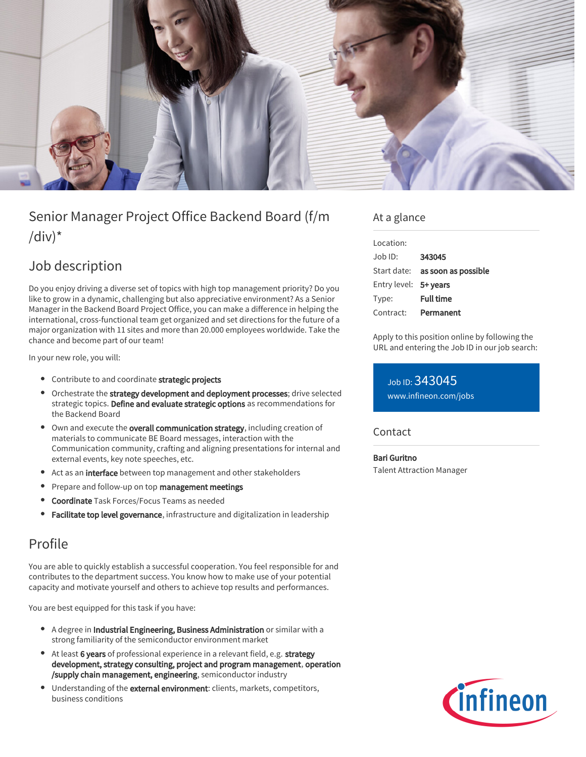

# Senior Manager Project Office Backend Board (f/m  $\frac{1}{d}$

# Job description

Do you enjoy driving a diverse set of topics with high top management priority? Do you like to grow in a dynamic, challenging but also appreciative environment? As a Senior Manager in the Backend Board Project Office, you can make a difference in helping the international, cross-functional team get organized and set directions for the future of a major organization with 11 sites and more than 20.000 employees worldwide. Take the chance and become part of our team!

In your new role, you will:

- **•** Contribute to and coordinate strategic projects
- Orchestrate the strategy development and deployment processes; drive selected strategic topics. Define and evaluate strategic options as recommendations for the Backend Board
- Own and execute the overall communication strategy, including creation of materials to communicate BE Board messages, interaction with the Communication community, crafting and aligning presentations for internal and external events, key note speeches, etc.
- Act as an interface between top management and other stakeholders
- **Prepare and follow-up on top management meetings**
- **Coordinate** Task Forces/Focus Teams as needed
- **Facilitate top level governance**, infrastructure and digitalization in leadership

## Profile

You are able to quickly establish a successful cooperation. You feel responsible for and contributes to the department success. You know how to make use of your potential capacity and motivate yourself and others to achieve top results and performances.

You are best equipped for this task if you have:

- A degree in Industrial Engineering, Business Administration or similar with a strong familiarity of the semiconductor environment market
- At least 6 vears of professional experience in a relevant field, e.g. strategy development, strategy consulting, project and program management, operation /supply chain management, engineering, semiconductor industry
- Understanding of the external environment: clients, markets, competitors, business conditions

### At a glance

| Location:             |                                        |
|-----------------------|----------------------------------------|
| Job ID:               | 343045                                 |
|                       | Start date: <b>as soon as possible</b> |
| Entry level: 5+ years |                                        |
| Type:                 | <b>Full time</b>                       |
| Contract:             | Permanent                              |

Apply to this position online by following the URL and entering the Job ID in our job search:

Job ID: 343045 [www.infineon.com/jobs](https://www.infineon.com/jobs)

### **Contact**

Bari Guritno

Talent Attraction Manager